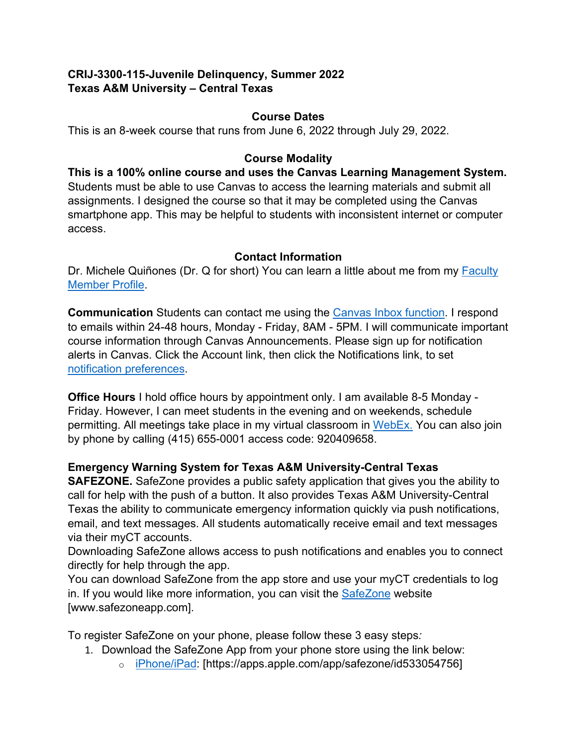# **CRIJ-3300-115-Juvenile Delinquency, Summer 2022 Texas A&M University – Central Texas**

### **Course Dates**

This is an 8-week course that runs from June 6, 2022 through July 29, 2022.

## **Course Modality**

**This is a 100% online course and uses the Canvas Learning Management System.** Students must be able to use Canvas to access the learning materials and submit all assignments. I designed the course so that it may be completed using the Canvas smartphone app. This may be helpful to students with inconsistent internet or computer access.

## **Contact Information**

Dr. Michele Quiñones (Dr. Q for short) You can learn a little about me from my [Faculty](https://www.tamuct.edu/directory/dir-coas/quinones-michele.html)  [Member Profile.](https://www.tamuct.edu/directory/dir-coas/quinones-michele.html)

**Communication** Students can contact me using the [Canvas Inbox function.](https://community.canvaslms.com/t5/Student-Guide/How-do-I-use-the-Inbox-as-a-student/ta-p/532) I respond to emails within 24-48 hours, Monday - Friday, 8AM - 5PM. I will communicate important course information through Canvas Announcements. Please sign up for notification alerts in Canvas. Click the Account link, then click the Notifications link, to set [notification preferences.](https://community.canvaslms.com/t5/Student-Guide/How-do-I-set-my-Canvas-notification-preferences-as-a-student/ta-p/434)

**Office Hours** I hold office hours by appointment only. I am available 8-5 Monday - Friday. However, I can meet students in the evening and on weekends, schedule permitting. All meetings take place in my virtual classroom in [WebEx.](https://tamuct.webex.com/meet/mquinones) You can also join by phone by calling (415) 655-0001 access code: 920409658.

## **Emergency Warning System for Texas A&M University-Central Texas**

**SAFEZONE.** SafeZone provides a public safety application that gives you the ability to call for help with the push of a button. It also provides Texas A&M University-Central Texas the ability to communicate emergency information quickly via push notifications, email, and text messages. All students automatically receive email and text messages via their myCT accounts.

Downloading SafeZone allows access to push notifications and enables you to connect directly for help through the app.

You can download SafeZone from the app store and use your myCT credentials to log in. If you would like more information, you can visit the [SafeZone](http://www.safezoneapp.com/) website [www.safezoneapp.com].

To register SafeZone on your phone, please follow these 3 easy steps*:*

- 1. Download the SafeZone App from your phone store using the link below:
	- o [iPhone/iPad:](https://apps.apple.com/app/safezone/id533054756) [https://apps.apple.com/app/safezone/id533054756]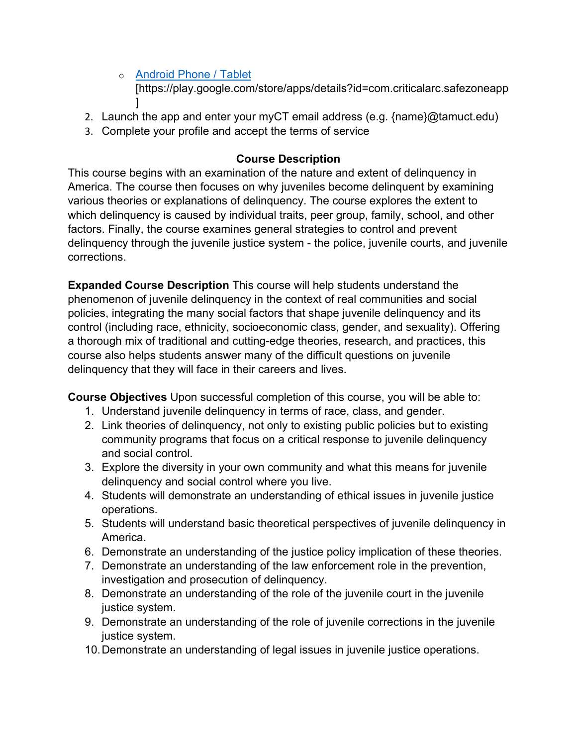- o [Android Phone / Tablet](https://play.google.com/store/apps/details?id=com.criticalarc.safezoneapp) [https://play.google.com/store/apps/details?id=com.criticalarc.safezoneapp ]
- 2. Launch the app and enter your myCT email address (e.g. {name}@tamuct.edu)
- 3. Complete your profile and accept the terms of service

## **Course Description**

This course begins with an examination of the nature and extent of delinquency in America. The course then focuses on why juveniles become delinquent by examining various theories or explanations of delinquency. The course explores the extent to which delinquency is caused by individual traits, peer group, family, school, and other factors. Finally, the course examines general strategies to control and prevent delinquency through the juvenile justice system - the police, juvenile courts, and juvenile corrections.

**Expanded Course Description** This course will help students understand the phenomenon of juvenile delinquency in the context of real communities and social policies, integrating the many social factors that shape juvenile delinquency and its control (including race, ethnicity, socioeconomic class, gender, and sexuality). Offering a thorough mix of traditional and cutting-edge theories, research, and practices, this course also helps students answer many of the difficult questions on juvenile delinquency that they will face in their careers and lives.

**Course Objectives** Upon successful completion of this course, you will be able to:

- 1. Understand juvenile delinquency in terms of race, class, and gender.
- 2. Link theories of delinquency, not only to existing public policies but to existing community programs that focus on a critical response to juvenile delinquency and social control.
- 3. Explore the diversity in your own community and what this means for juvenile delinquency and social control where you live.
- 4. Students will demonstrate an understanding of ethical issues in juvenile justice operations.
- 5. Students will understand basic theoretical perspectives of juvenile delinquency in America.
- 6. Demonstrate an understanding of the justice policy implication of these theories.
- 7. Demonstrate an understanding of the law enforcement role in the prevention, investigation and prosecution of delinquency.
- 8. Demonstrate an understanding of the role of the juvenile court in the juvenile justice system.
- 9. Demonstrate an understanding of the role of juvenile corrections in the juvenile justice system.
- 10.Demonstrate an understanding of legal issues in juvenile justice operations.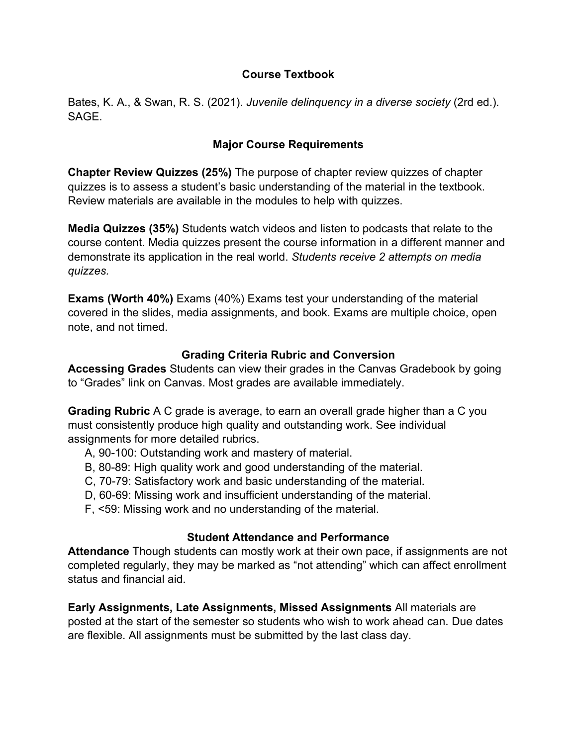## **Course Textbook**

Bates, K. A., & Swan, R. S. (2021). *Juvenile delinquency in a diverse society* (2rd ed.)*.*  **SAGF** 

### **Major Course Requirements**

**Chapter Review Quizzes (25%)** The purpose of chapter review quizzes of chapter quizzes is to assess a student's basic understanding of the material in the textbook. Review materials are available in the modules to help with quizzes.

**Media Quizzes (35%)** Students watch videos and listen to podcasts that relate to the course content. Media quizzes present the course information in a different manner and demonstrate its application in the real world. *Students receive 2 attempts on media quizzes.*

**Exams (Worth 40%)** Exams (40%) Exams test your understanding of the material covered in the slides, media assignments, and book. Exams are multiple choice, open note, and not timed.

#### **Grading Criteria Rubric and Conversion**

**Accessing Grades** Students can view their grades in the Canvas Gradebook by going to "Grades" link on Canvas. Most grades are available immediately.

**Grading Rubric** A C grade is average, to earn an overall grade higher than a C you must consistently produce high quality and outstanding work. See individual assignments for more detailed rubrics.

- A, 90-100: Outstanding work and mastery of material.
- B, 80-89: High quality work and good understanding of the material.
- C, 70-79: Satisfactory work and basic understanding of the material.
- D, 60-69: Missing work and insufficient understanding of the material.
- F, <59: Missing work and no understanding of the material.

## **Student Attendance and Performance**

**Attendance** Though students can mostly work at their own pace, if assignments are not completed regularly, they may be marked as "not attending" which can affect enrollment status and financial aid.

**Early Assignments, Late Assignments, Missed Assignments** All materials are posted at the start of the semester so students who wish to work ahead can. Due dates are flexible. All assignments must be submitted by the last class day.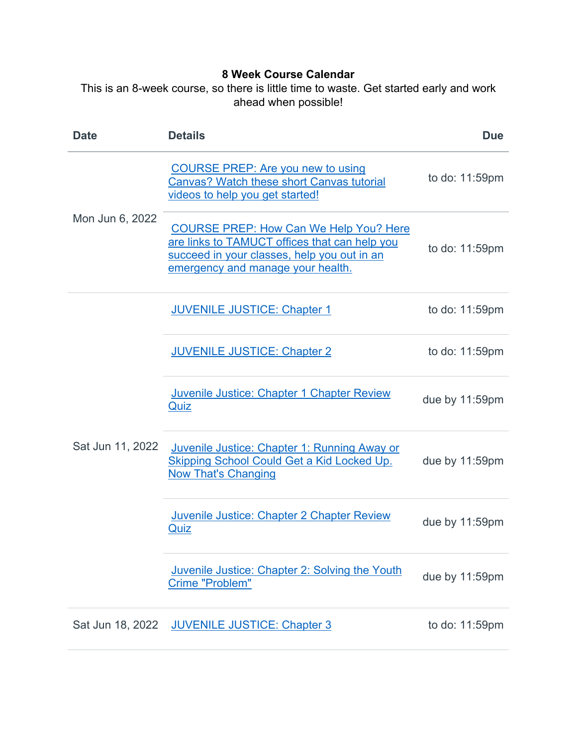# **8 Week Course Calendar**

This is an 8-week course, so there is little time to waste. Get started early and work ahead when possible!

| <b>Date</b>      | <b>Details</b>                                                                                                                                                                     | <b>Due</b>        |
|------------------|------------------------------------------------------------------------------------------------------------------------------------------------------------------------------------|-------------------|
| Mon Jun 6, 2022  | <b>COURSE PREP: Are you new to using</b><br><b>Canvas? Watch these short Canvas tutorial</b><br>videos to help you get started!                                                    | to do: 11:59pm    |
|                  | <b>COURSE PREP: How Can We Help You? Here</b><br>are links to TAMUCT offices that can help you<br>succeed in your classes, help you out in an<br>emergency and manage your health. | to do: 11:59pm    |
| Sat Jun 11, 2022 | <b>JUVENILE JUSTICE: Chapter 1</b>                                                                                                                                                 | to do: 11:59pm    |
|                  | <b>JUVENILE JUSTICE: Chapter 2</b>                                                                                                                                                 | to do: 11:59pm    |
|                  | Juvenile Justice: Chapter 1 Chapter Review<br>Quiz                                                                                                                                 | due by 11:59pm    |
|                  | Juvenile Justice: Chapter 1: Running Away or<br><b>Skipping School Could Get a Kid Locked Up.</b><br><b>Now That's Changing</b>                                                    | due by 11:59pm    |
|                  | Juvenile Justice: Chapter 2 Chapter Review<br>Quiz                                                                                                                                 | due by $11:59$ pm |
|                  | Juvenile Justice: Chapter 2: Solving the Youth<br>Crime "Problem"                                                                                                                  | due by 11:59pm    |
| Sat Jun 18, 2022 | <b>JUVENILE JUSTICE: Chapter 3</b>                                                                                                                                                 | to do: 11:59pm    |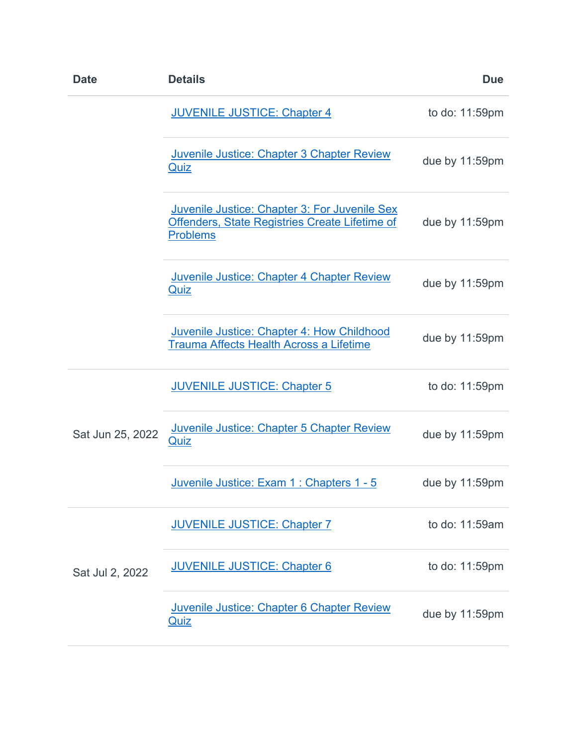|                  | <b>JUVENILE JUSTICE: Chapter 4</b>                                                                                 | to do: 11:59pm |
|------------------|--------------------------------------------------------------------------------------------------------------------|----------------|
|                  |                                                                                                                    |                |
|                  | Juvenile Justice: Chapter 3 Chapter Review<br>Quiz                                                                 | due by 11:59pm |
|                  | Juvenile Justice: Chapter 3: For Juvenile Sex<br>Offenders, State Registries Create Lifetime of<br><b>Problems</b> | due by 11:59pm |
|                  | Juvenile Justice: Chapter 4 Chapter Review<br><b>Quiz</b>                                                          | due by 11:59pm |
|                  | Juvenile Justice: Chapter 4: How Childhood<br>Trauma Affects Health Across a Lifetime                              | due by 11:59pm |
|                  | <b>JUVENILE JUSTICE: Chapter 5</b>                                                                                 | to do: 11:59pm |
| Sat Jun 25, 2022 | Juvenile Justice: Chapter 5 Chapter Review<br><b>Quiz</b>                                                          | due by 11:59pm |
|                  | <u>Juvenile Justice: Exam 1 : Chapters 1 - 5</u>                                                                   | due by 11:59pm |
|                  | <b>JUVENILE JUSTICE: Chapter 7</b>                                                                                 | to do: 11:59am |
| Sat Jul 2, 2022  | <b>JUVENILE JUSTICE: Chapter 6</b>                                                                                 | to do: 11:59pm |
|                  | Juvenile Justice: Chapter 6 Chapter Review<br><u>Quiz</u>                                                          | due by 11:59pm |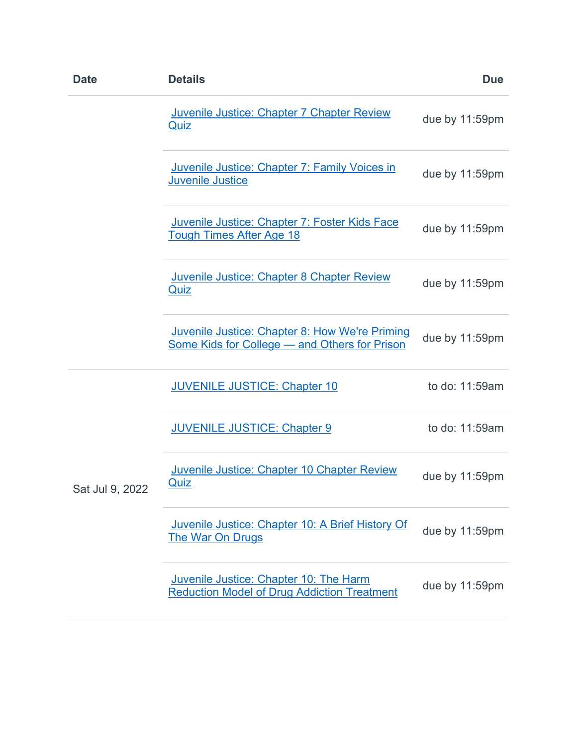| <b>Date</b>     | <b>Details</b>                                                                                  | <b>Due</b>     |
|-----------------|-------------------------------------------------------------------------------------------------|----------------|
|                 | Juvenile Justice: Chapter 7 Chapter Review<br><u>Quiz</u>                                       | due by 11:59pm |
|                 | Juvenile Justice: Chapter 7: Family Voices in<br><b>Juvenile Justice</b>                        | due by 11:59pm |
|                 | Juvenile Justice: Chapter 7: Foster Kids Face<br><b>Tough Times After Age 18</b>                | due by 11:59pm |
|                 | Juvenile Justice: Chapter 8 Chapter Review<br><b>Quiz</b>                                       | due by 11:59pm |
|                 | Juvenile Justice: Chapter 8: How We're Priming<br>Some Kids for College - and Others for Prison | due by 11:59pm |
|                 | <b>JUVENILE JUSTICE: Chapter 10</b>                                                             | to do: 11:59am |
|                 | <b>JUVENILE JUSTICE: Chapter 9</b>                                                              | to do: 11:59am |
| Sat Jul 9, 2022 | Juvenile Justice: Chapter 10 Chapter Review<br>Quiz                                             | due by 11:59pm |
|                 | Juvenile Justice: Chapter 10: A Brief History Of<br><b>The War On Drugs</b>                     | due by 11:59pm |
|                 | Juvenile Justice: Chapter 10: The Harm<br><b>Reduction Model of Drug Addiction Treatment</b>    | due by 11:59pm |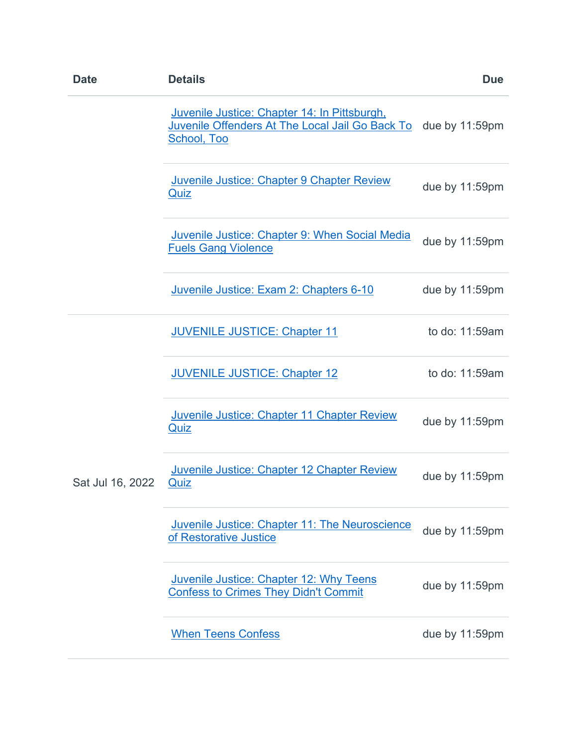| <b>Date</b>      | <b>Details</b>                                                                                                 | <b>Due</b>     |
|------------------|----------------------------------------------------------------------------------------------------------------|----------------|
|                  | Juvenile Justice: Chapter 14: In Pittsburgh,<br>Juvenile Offenders At The Local Jail Go Back To<br>School, Too | due by 11:59pm |
|                  | Juvenile Justice: Chapter 9 Chapter Review<br><u>Quiz</u>                                                      | due by 11:59pm |
|                  | <b>Juvenile Justice: Chapter 9: When Social Media</b><br><b>Fuels Gang Violence</b>                            | due by 11:59pm |
|                  | Juvenile Justice: Exam 2: Chapters 6-10                                                                        | due by 11:59pm |
| Sat Jul 16, 2022 | <b>JUVENILE JUSTICE: Chapter 11</b>                                                                            | to do: 11:59am |
|                  | <b>JUVENILE JUSTICE: Chapter 12</b>                                                                            | to do: 11:59am |
|                  | Juvenile Justice: Chapter 11 Chapter Review<br><u>Quiz</u>                                                     | due by 11:59pm |
|                  | <b>Juvenile Justice: Chapter 12 Chapter Review</b><br>Quiz                                                     | due by 11:59pm |
|                  | <b>Juvenile Justice: Chapter 11: The Neuroscience</b><br>of Restorative Justice                                | due by 11:59pm |
|                  | <b>Juvenile Justice: Chapter 12: Why Teens</b><br><b>Confess to Crimes They Didn't Commit</b>                  | due by 11:59pm |
|                  | <b>When Teens Confess</b>                                                                                      | due by 11:59pm |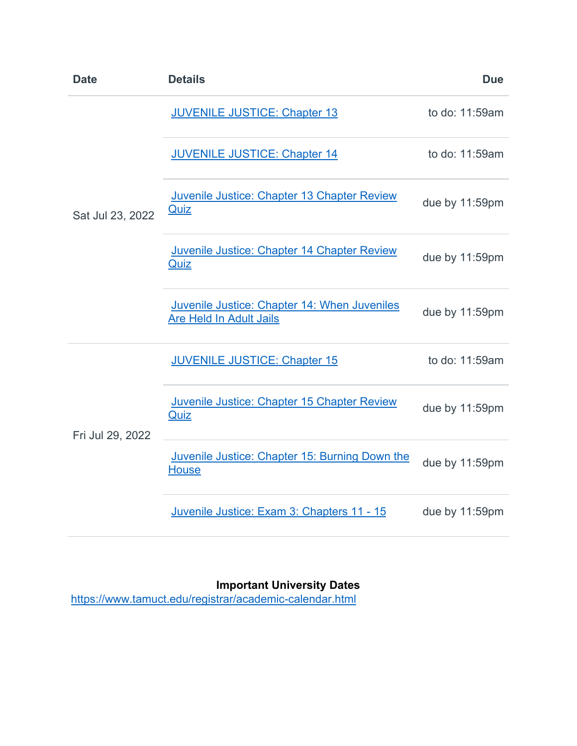| <b>Date</b>      | <b>Details</b>                                                                 | <b>Due</b>     |
|------------------|--------------------------------------------------------------------------------|----------------|
| Sat Jul 23, 2022 | <b>JUVENILE JUSTICE: Chapter 13</b>                                            | to do: 11:59am |
|                  | <b>JUVENILE JUSTICE: Chapter 14</b>                                            | to do: 11:59am |
|                  | Juvenile Justice: Chapter 13 Chapter Review<br>Quiz                            | due by 11:59pm |
|                  | Juvenile Justice: Chapter 14 Chapter Review<br><b>Quiz</b>                     | due by 11:59pm |
|                  | Juvenile Justice: Chapter 14: When Juveniles<br><b>Are Held In Adult Jails</b> | due by 11:59pm |
| Fri Jul 29, 2022 | <b>JUVENILE JUSTICE: Chapter 15</b>                                            | to do: 11:59am |
|                  | Juvenile Justice: Chapter 15 Chapter Review<br><b>Quiz</b>                     | due by 11:59pm |
|                  | Juvenile Justice: Chapter 15: Burning Down the<br><b>House</b>                 | due by 11:59pm |
|                  | Juvenile Justice: Exam 3: Chapters 11 - 15                                     | due by 11:59pm |

**Important University Dates**

<https://www.tamuct.edu/registrar/academic-calendar.html>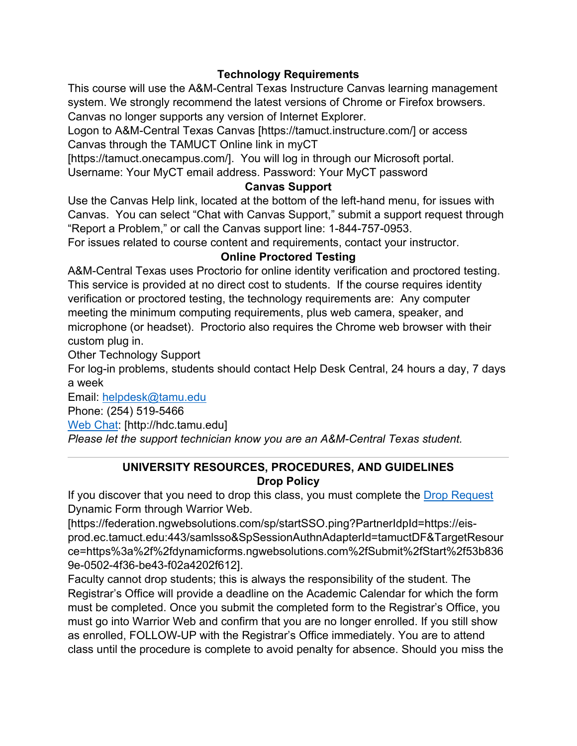# **Technology Requirements**

This course will use the A&M-Central Texas Instructure Canvas learning management system. We strongly recommend the latest versions of Chrome or Firefox browsers. Canvas no longer supports any version of Internet Explorer.

Logon to A&M-Central Texas Canvas [https://tamuct.instructure.com/] or access Canvas through the TAMUCT Online link in myCT

[https://tamuct.onecampus.com/]. You will log in through our Microsoft portal.

Username: Your MyCT email address. Password: Your MyCT password

# **Canvas Support**

Use the Canvas Help link, located at the bottom of the left-hand menu, for issues with Canvas. You can select "Chat with Canvas Support," submit a support request through "Report a Problem," or call the Canvas support line: 1-844-757-0953.

For issues related to course content and requirements, contact your instructor.

## **Online Proctored Testing**

A&M-Central Texas uses Proctorio for online identity verification and proctored testing. This service is provided at no direct cost to students. If the course requires identity verification or proctored testing, the technology requirements are: Any computer meeting the minimum computing requirements, plus web camera, speaker, and microphone (or headset). Proctorio also requires the Chrome web browser with their custom plug in.

Other Technology Support

For log-in problems, students should contact Help Desk Central, 24 hours a day, 7 days a week

Email: [helpdesk@tamu.edu](mailto:helpdesk@tamu.edu) Phone: (254) 519-5466

[Web Chat:](http://hdc.tamu.edu/) [http://hdc.tamu.edu] *Please let the support technician know you are an A&M-Central Texas student.*

# **UNIVERSITY RESOURCES, PROCEDURES, AND GUIDELINES Drop Policy**

If you discover that you need to drop this class, you must complete the [Drop Request](https://federation.ngwebsolutions.com/sp/startSSO.ping?PartnerIdpId=https://eis-prod.ec.tamuct.edu:443/samlsso&SpSessionAuthnAdapterId=tamuctDF&TargetResource=https%3a%2f%2fdynamicforms.ngwebsolutions.com%2fSubmit%2fStart%2f53b8369e-0502-4f36-be43-f02a4202f612) Dynamic Form through Warrior Web.

[https://federation.ngwebsolutions.com/sp/startSSO.ping?PartnerIdpId=https://eisprod.ec.tamuct.edu:443/samlsso&SpSessionAuthnAdapterId=tamuctDF&TargetResour ce=https%3a%2f%2fdynamicforms.ngwebsolutions.com%2fSubmit%2fStart%2f53b836 9e-0502-4f36-be43-f02a4202f612].

Faculty cannot drop students; this is always the responsibility of the student. The Registrar's Office will provide a deadline on the Academic Calendar for which the form must be completed. Once you submit the completed form to the Registrar's Office, you must go into Warrior Web and confirm that you are no longer enrolled. If you still show as enrolled, FOLLOW-UP with the Registrar's Office immediately. You are to attend class until the procedure is complete to avoid penalty for absence. Should you miss the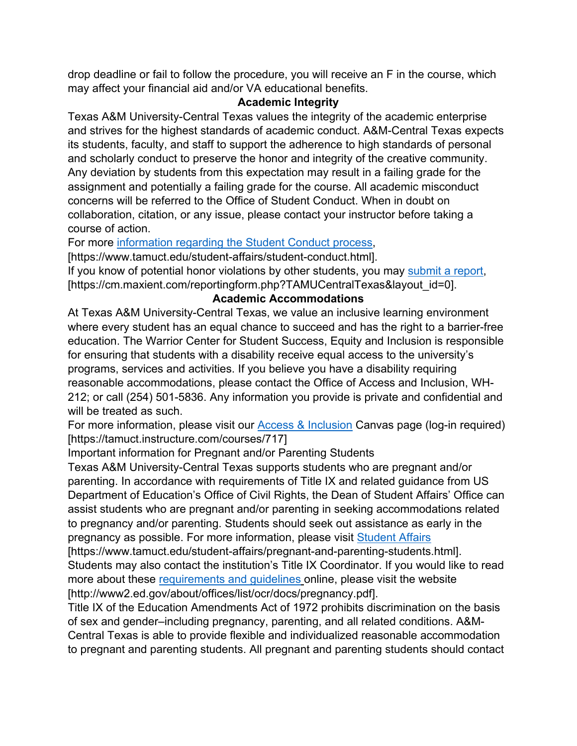drop deadline or fail to follow the procedure, you will receive an F in the course, which may affect your financial aid and/or VA educational benefits.

### **Academic Integrity**

Texas A&M University-Central Texas values the integrity of the academic enterprise and strives for the highest standards of academic conduct. A&M-Central Texas expects its students, faculty, and staff to support the adherence to high standards of personal and scholarly conduct to preserve the honor and integrity of the creative community. Any deviation by students from this expectation may result in a failing grade for the assignment and potentially a failing grade for the course. All academic misconduct concerns will be referred to the Office of Student Conduct. When in doubt on collaboration, citation, or any issue, please contact your instructor before taking a course of action.

For more [information regarding the Student Conduct process,](https://nam04.safelinks.protection.outlook.com/?url=https%3A%2F%2Fwww.tamuct.edu%2Fstudent-affairs%2Fstudent-conduct.html&data=04%7C01%7Clisa.bunkowski%40tamuct.edu%7Ccfb6e486f24745f53e1a08d910055cb2%7C9eed4e3000f744849ff193ad8005acec%7C0%7C0%7C637558437485252160%7CUnknown%7CTWFpbGZsb3d8eyJWIjoiMC4wLjAwMDAiLCJQIjoiV2luMzIiLCJBTiI6Ik1haWwiLCJXVCI6Mn0%3D%7C1000&sdata=yjftDEVHvLX%2FhM%2FcFU0B99krV1RgEWR%2BJ%2BhvtoR6TYk%3D&reserved=0)

[https://www.tamuct.edu/student-affairs/student-conduct.html].

If you know of potential honor violations by other students, you may [submit a report,](https://nam04.safelinks.protection.outlook.com/?url=https%3A%2F%2Fcm.maxient.com%2Freportingform.php%3FTAMUCentralTexas%26layout_id%3D0&data=04%7C01%7Clisa.bunkowski%40tamuct.edu%7Ccfb6e486f24745f53e1a08d910055cb2%7C9eed4e3000f744849ff193ad8005acec%7C0%7C0%7C637558437485262157%7CUnknown%7CTWFpbGZsb3d8eyJWIjoiMC4wLjAwMDAiLCJQIjoiV2luMzIiLCJBTiI6Ik1haWwiLCJXVCI6Mn0%3D%7C1000&sdata=CXGkOa6uPDPX1IMZ87z3aZDq2n91xfHKu4MMS43Ejjk%3D&reserved=0) [https://cm.maxient.com/reportingform.php?TAMUCentralTexas&layout\_id=0].

# **Academic Accommodations**

At Texas A&M University-Central Texas, we value an inclusive learning environment where every student has an equal chance to succeed and has the right to a barrier-free education. The Warrior Center for Student Success, Equity and Inclusion is responsible for ensuring that students with a disability receive equal access to the university's programs, services and activities. If you believe you have a disability requiring reasonable accommodations, please contact the Office of Access and Inclusion, WH-212; or call (254) 501-5836. Any information you provide is private and confidential and will be treated as such.

For more information, please visit our [Access & Inclusion](https://tamuct.instructure.com/courses/717) Canvas page (log-in required) [https://tamuct.instructure.com/courses/717]

# Important information for Pregnant and/or Parenting Students

Texas A&M University-Central Texas supports students who are pregnant and/or parenting. In accordance with requirements of Title IX and related guidance from US Department of Education's Office of Civil Rights, the Dean of Student Affairs' Office can assist students who are pregnant and/or parenting in seeking accommodations related to pregnancy and/or parenting. Students should seek out assistance as early in the pregnancy as possible. For more information, please visit [Student Affairs](https://www.tamuct.edu/student-affairs/pregnant-and-parenting-students.html)

[https://www.tamuct.edu/student-affairs/pregnant-and-parenting-students.html]. Students may also contact the institution's Title IX Coordinator. If you would like to read more about these [requirements and guidelines](http://www2.ed.gov/about/offices/list/ocr/docs/pregnancy.pdf) online, please visit the website [http://www2.ed.gov/about/offices/list/ocr/docs/pregnancy.pdf].

Title IX of the Education Amendments Act of 1972 prohibits discrimination on the basis of sex and gender–including pregnancy, parenting, and all related conditions. A&M-Central Texas is able to provide flexible and individualized reasonable accommodation to pregnant and parenting students. All pregnant and parenting students should contact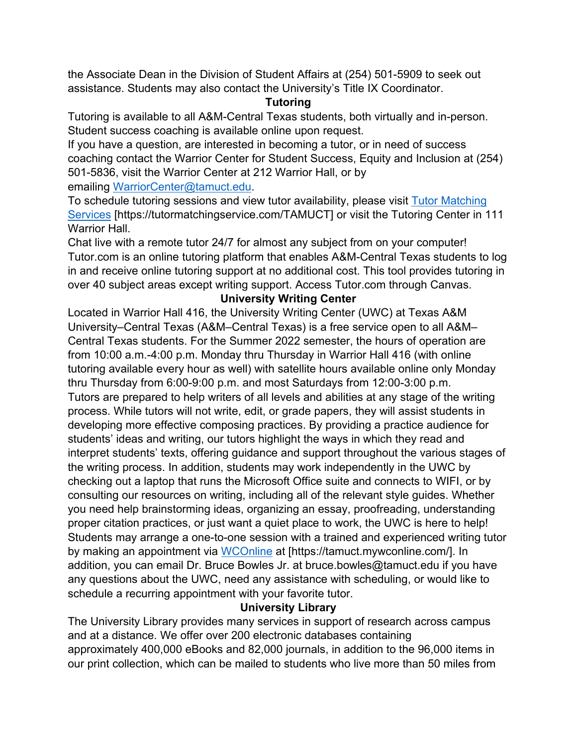the Associate Dean in the Division of Student Affairs at (254) 501-5909 to seek out assistance. Students may also contact the University's Title IX Coordinator.

#### **Tutoring**

Tutoring is available to all A&M-Central Texas students, both virtually and in-person. Student success coaching is available online upon request.

If you have a question, are interested in becoming a tutor, or in need of success coaching contact the Warrior Center for Student Success, Equity and Inclusion at (254) 501-5836, visit the Warrior Center at 212 Warrior Hall, or by emailing [WarriorCenter@tamuct.edu.](mailto:WarriorCenter@tamuct.edu)

To schedule tutoring sessions and view tutor availability, please visit [Tutor Matching](https://tutormatchingservice.com/TAMUCT)  [Services](https://tutormatchingservice.com/TAMUCT) [https://tutormatchingservice.com/TAMUCT] or visit the Tutoring Center in 111 Warrior Hall.

Chat live with a remote tutor 24/7 for almost any subject from on your computer! Tutor.com is an online tutoring platform that enables A&M-Central Texas students to log in and receive online tutoring support at no additional cost. This tool provides tutoring in over 40 subject areas except writing support. Access Tutor.com through Canvas.

#### **University Writing Center**

Located in Warrior Hall 416, the University Writing Center (UWC) at Texas A&M University–Central Texas (A&M–Central Texas) is a free service open to all A&M– Central Texas students. For the Summer 2022 semester, the hours of operation are from 10:00 a.m.-4:00 p.m. Monday thru Thursday in Warrior Hall 416 (with online tutoring available every hour as well) with satellite hours available online only Monday thru Thursday from 6:00-9:00 p.m. and most Saturdays from 12:00-3:00 p.m. Tutors are prepared to help writers of all levels and abilities at any stage of the writing process. While tutors will not write, edit, or grade papers, they will assist students in developing more effective composing practices. By providing a practice audience for students' ideas and writing, our tutors highlight the ways in which they read and interpret students' texts, offering guidance and support throughout the various stages of the writing process. In addition, students may work independently in the UWC by checking out a laptop that runs the Microsoft Office suite and connects to WIFI, or by consulting our resources on writing, including all of the relevant style guides. Whether you need help brainstorming ideas, organizing an essay, proofreading, understanding proper citation practices, or just want a quiet place to work, the UWC is here to help! Students may arrange a one-to-one session with a trained and experienced writing tutor by making an appointment via [WCOnline](https://tamuct.mywconline.com/) at [https://tamuct.mywconline.com/]. In addition, you can email Dr. Bruce Bowles Jr. at bruce.bowles@tamuct.edu if you have any questions about the UWC, need any assistance with scheduling, or would like to schedule a recurring appointment with your favorite tutor.

#### **University Library**

The University Library provides many services in support of research across campus and at a distance. We offer over 200 electronic databases containing approximately 400,000 eBooks and 82,000 journals, in addition to the 96,000 items in our print collection, which can be mailed to students who live more than 50 miles from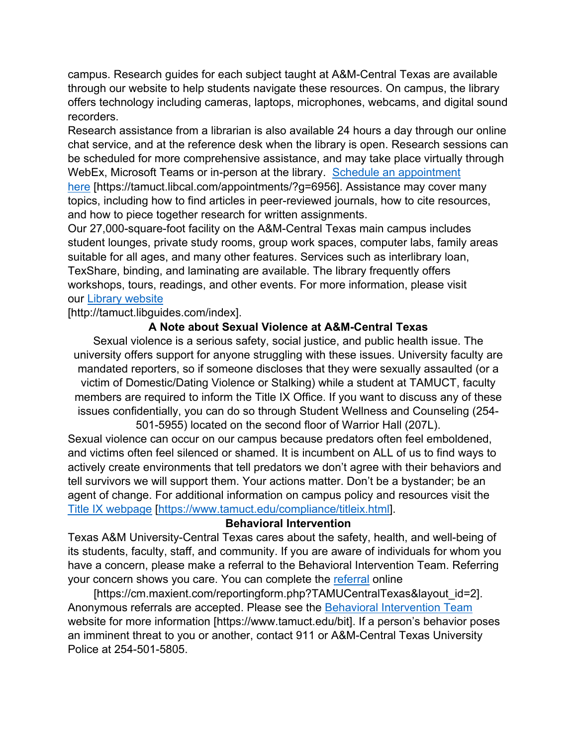campus. Research guides for each subject taught at A&M-Central Texas are available through our website to help students navigate these resources. On campus, the library offers technology including cameras, laptops, microphones, webcams, and digital sound recorders.

Research assistance from a librarian is also available 24 hours a day through our online chat service, and at the reference desk when the library is open. Research sessions can be scheduled for more comprehensive assistance, and may take place virtually through WebEx, Microsoft Teams or in-person at the library. [Schedule an appointment](https://nam04.safelinks.protection.outlook.com/?url=https%3A%2F%2Ftamuct.libcal.com%2Fappointments%2F%3Fg%3D6956&data=04%7C01%7Clisa.bunkowski%40tamuct.edu%7Cde2c07d9f5804f09518008d9ab7ba6ff%7C9eed4e3000f744849ff193ad8005acec%7C0%7C0%7C637729369835011558%7CUnknown%7CTWFpbGZsb3d8eyJWIjoiMC4wLjAwMDAiLCJQIjoiV2luMzIiLCJBTiI6Ik1haWwiLCJXVCI6Mn0%3D%7C3000&sdata=KhtjgRSAw9aq%2FoBsB6wyu8b7PSuGN5EGPypzr3Ty2No%3D&reserved=0)  [here](https://nam04.safelinks.protection.outlook.com/?url=https%3A%2F%2Ftamuct.libcal.com%2Fappointments%2F%3Fg%3D6956&data=04%7C01%7Clisa.bunkowski%40tamuct.edu%7Cde2c07d9f5804f09518008d9ab7ba6ff%7C9eed4e3000f744849ff193ad8005acec%7C0%7C0%7C637729369835011558%7CUnknown%7CTWFpbGZsb3d8eyJWIjoiMC4wLjAwMDAiLCJQIjoiV2luMzIiLCJBTiI6Ik1haWwiLCJXVCI6Mn0%3D%7C3000&sdata=KhtjgRSAw9aq%2FoBsB6wyu8b7PSuGN5EGPypzr3Ty2No%3D&reserved=0) [https://tamuct.libcal.com/appointments/?g=6956]. Assistance may cover many topics, including how to find articles in peer-reviewed journals, how to cite resources,

and how to piece together research for written assignments.

Our 27,000-square-foot facility on the A&M-Central Texas main campus includes student lounges, private study rooms, group work spaces, computer labs, family areas suitable for all ages, and many other features. Services such as interlibrary loan, TexShare, binding, and laminating are available. The library frequently offers workshops, tours, readings, and other events. For more information, please visit our [Library website](https://nam04.safelinks.protection.outlook.com/?url=https%3A%2F%2Ftamuct.libguides.com%2Findex&data=04%7C01%7Clisa.bunkowski%40tamuct.edu%7C7d8489e8839a4915335f08d916f067f2%7C9eed4e3000f744849ff193ad8005acec%7C0%7C0%7C637566044056484222%7CUnknown%7CTWFpbGZsb3d8eyJWIjoiMC4wLjAwMDAiLCJQIjoiV2luMzIiLCJBTiI6Ik1haWwiLCJXVCI6Mn0%3D%7C1000&sdata=2R755V6rcIyedGrd4Os5rkgn1PvhHKU3kUV1vBKiHFo%3D&reserved=0)

[http://tamuct.libguides.com/index].

#### **A Note about Sexual Violence at A&M-Central Texas**

Sexual violence is a serious safety, social justice, and public health issue. The university offers support for anyone struggling with these issues. University faculty are mandated reporters, so if someone discloses that they were sexually assaulted (or a victim of Domestic/Dating Violence or Stalking) while a student at TAMUCT, faculty members are required to inform the Title IX Office. If you want to discuss any of these issues confidentially, you can do so through Student Wellness and Counseling (254-

501-5955) located on the second floor of Warrior Hall (207L). Sexual violence can occur on our campus because predators often feel emboldened, and victims often feel silenced or shamed. It is incumbent on ALL of us to find ways to actively create environments that tell predators we don't agree with their behaviors and tell survivors we will support them. Your actions matter. Don't be a bystander; be an agent of change. For additional information on campus policy and resources visit the [Title IX webpage](https://www.tamuct.edu/compliance/titleix.html) [\[https://www.tamuct.edu/compliance/titleix.html\]](https://www.tamuct.edu/compliance/titleix.html).

#### **Behavioral Intervention**

Texas A&M University-Central Texas cares about the safety, health, and well-being of its students, faculty, staff, and community. If you are aware of individuals for whom you have a concern, please make a referral to the Behavioral Intervention Team. Referring your concern shows you care. You can complete the [referral](https://cm.maxient.com/reportingform.php?TAMUCentralTexas&layout_id=2) online

[https://cm.maxient.com/reportingform.php?TAMUCentralTexas&layout\_id=2]. Anonymous referrals are accepted. Please see the [Behavioral Intervention Team](https://www.tamuct.edu/bit) website for more information [https://www.tamuct.edu/bit]. If a person's behavior poses an imminent threat to you or another, contact 911 or A&M-Central Texas University Police at 254-501-5805.